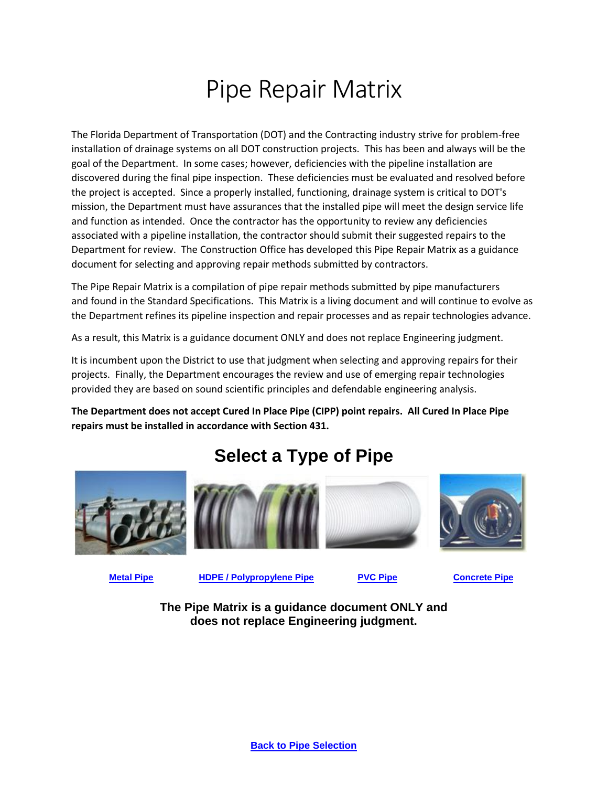# Pipe Repair Matrix

The Florida Department of Transportation (DOT) and the Contracting industry strive for problem-free installation of drainage systems on all DOT construction projects. This has been and always will be the goal of the Department. In some cases; however, deficiencies with the pipeline installation are discovered during the final pipe inspection. These deficiencies must be evaluated and resolved before the project is accepted. Since a properly installed, functioning, drainage system is critical to DOT's mission, the Department must have assurances that the installed pipe will meet the design service life and function as intended. Once the contractor has the opportunity to review any deficiencies associated with a pipeline installation, the contractor should submit their suggested repairs to the Department for review. The Construction Office has developed this Pipe Repair Matrix as a guidance document for selecting and approving repair methods submitted by contractors.

The Pipe Repair Matrix is a compilation of pipe repair methods submitted by pipe manufacturers and found in the Standard Specifications. This Matrix is a living document and will continue to evolve as the Department refines its pipeline inspection and repair processes and as repair technologies advance.

As a result, this Matrix is a guidance document ONLY and does not replace Engineering judgment.

It is incumbent upon the District to use that judgment when selecting and approving repairs for their projects. Finally, the Department encourages the review and use of emerging repair technologies provided they are based on sound scientific principles and defendable engineering analysis.

**The Department does not accept Cured In Place Pipe (CIPP) point repairs. All Cured In Place Pipe repairs must be installed in accordance with Section 431.** 

<span id="page-0-0"></span>









**[Metal](#page-1-0) Pipe [HDPE / Polypropylene Pipe](#page-2-0) [PVC Pipe](#page-3-0) [Concrete Pipe](#page-4-0)**

**The Pipe Matrix is a guidance document ONLY and does not replace Engineering judgment.**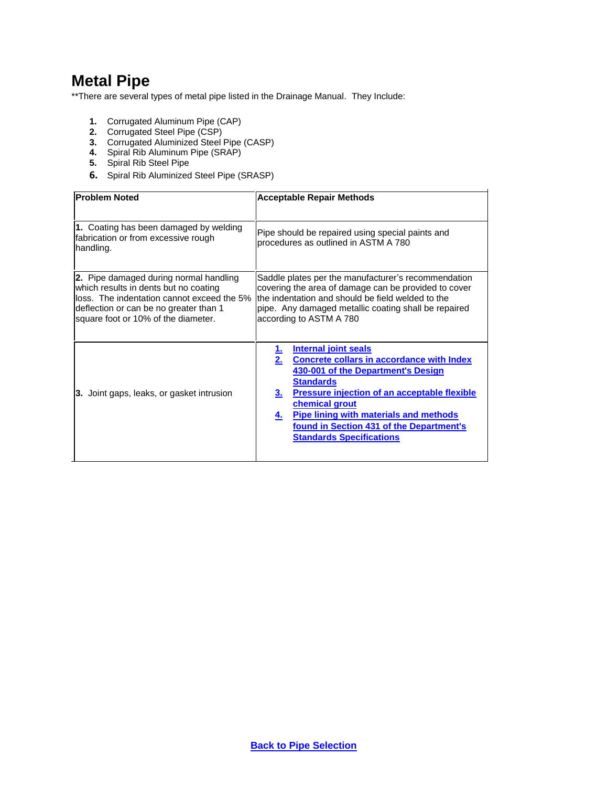### <span id="page-1-0"></span>**Metal Pipe**

\*\*There are several types of metal pipe listed in the Drainage Manual. They Include:

- **1.** Corrugated Aluminum Pipe (CAP)
- **2.** Corrugated Steel Pipe (CSP)
- **3.** Corrugated Aluminized Steel Pipe (CASP)
- **4.** Spiral Rib Aluminum Pipe (SRAP)
- **5.** Spiral Rib Steel Pipe
- **6.** Spiral Rib Aluminized Steel Pipe (SRASP)

| <b>Problem Noted</b>                                                                                                                                                                                            | <b>Acceptable Repair Methods</b>                                                                                                                                                                                                                                                                                                                                           |
|-----------------------------------------------------------------------------------------------------------------------------------------------------------------------------------------------------------------|----------------------------------------------------------------------------------------------------------------------------------------------------------------------------------------------------------------------------------------------------------------------------------------------------------------------------------------------------------------------------|
| 1. Coating has been damaged by welding<br>fabrication or from excessive rough<br>handling.                                                                                                                      | Pipe should be repaired using special paints and<br>procedures as outlined in ASTM A 780                                                                                                                                                                                                                                                                                   |
| 2. Pipe damaged during normal handling<br>which results in dents but no coating<br>lloss. The indentation cannot exceed the 5%<br>deflection or can be no greater than 1<br>square foot or 10% of the diameter. | Saddle plates per the manufacturer's recommendation<br>covering the area of damage can be provided to cover<br>the indentation and should be field welded to the<br>pipe. Any damaged metallic coating shall be repaired<br>according to ASTM A 780                                                                                                                        |
| 3. Joint gaps, leaks, or gasket intrusion                                                                                                                                                                       | Internal joint seals<br><u>1.</u><br>2.<br><b>Concrete collars in accordance with Index</b><br>430-001 of the Department's Design<br><b>Standards</b><br><b>Pressure injection of an acceptable flexible</b><br>3.<br>chemical grout<br><b>Pipe lining with materials and methods</b><br>4.<br>found in Section 431 of the Department's<br><b>Standards Specifications</b> |

j.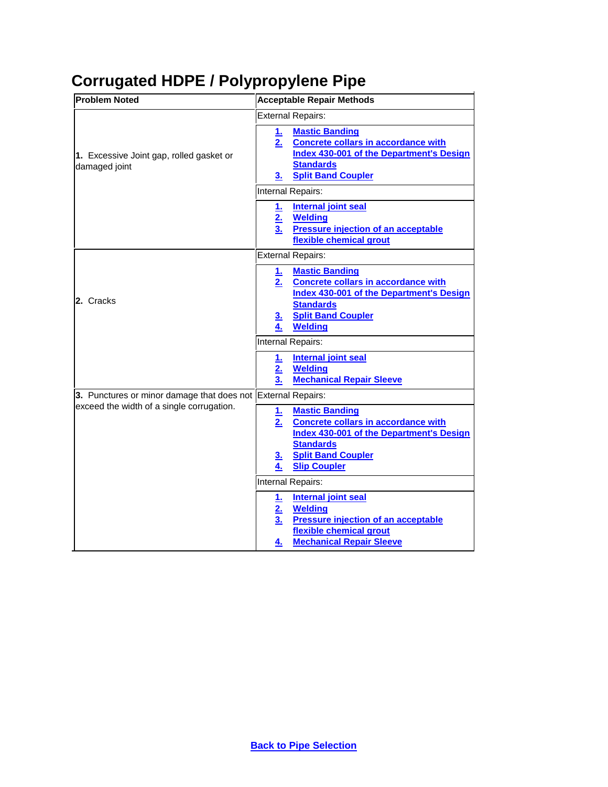# <span id="page-2-0"></span>**Corrugated HDPE / Polypropylene Pipe**

| <b>Problem Noted</b>                                         | <b>Acceptable Repair Methods</b>                                                                                                                                                                                                         |
|--------------------------------------------------------------|------------------------------------------------------------------------------------------------------------------------------------------------------------------------------------------------------------------------------------------|
| 1. Excessive Joint gap, rolled gasket or<br>damaged joint    | <b>External Repairs:</b>                                                                                                                                                                                                                 |
|                                                              | <b>Mastic Banding</b><br>1.<br><b>Concrete collars in accordance with</b><br>2.<br>Index 430-001 of the Department's Design<br><b>Standards</b><br><b>Split Band Coupler</b><br>З.                                                       |
|                                                              | Internal Repairs:                                                                                                                                                                                                                        |
|                                                              | <b>Internal joint seal</b><br><u>1.</u><br><b>Welding</b><br>2.<br>3.<br><b>Pressure injection of an acceptable</b><br>flexible chemical grout                                                                                           |
| 2. Cracks                                                    | <b>External Repairs:</b>                                                                                                                                                                                                                 |
|                                                              | <b>Mastic Banding</b><br><u>1. l</u><br><b>Concrete collars in accordance with</b><br><u>2.</u><br><b>Index 430-001 of the Department's Design</b><br><b>Standards</b><br><b>Split Band Coupler</b><br><u>3.</u><br><b>Welding</b><br>4. |
|                                                              | Internal Repairs:                                                                                                                                                                                                                        |
|                                                              | <b>Internal joint seal</b><br><u>1.</u><br><b>Welding</b><br>2 <sub>1</sub><br><b>Mechanical Repair Sleeve</b><br>3.                                                                                                                     |
| 3. Punctures or minor damage that does not External Repairs: |                                                                                                                                                                                                                                          |
| exceed the width of a single corrugation.                    | <b>Mastic Banding</b><br><u>1.</u><br>2.<br><b>Concrete collars in accordance with</b><br><b>Index 430-001 of the Department's Design</b><br><b>Standards</b><br><b>Split Band Coupler</b><br><u>3.</u><br><b>Slip Coupler</b><br>4.     |
|                                                              | Internal Repairs:                                                                                                                                                                                                                        |
|                                                              | <b>Internal joint seal</b><br><u>1.</u><br>2.<br><b>Welding</b><br><b>Pressure injection of an acceptable</b><br>3 <sub>1</sub><br>flexible chemical grout<br><b>Mechanical Repair Sleeve</b><br>4.                                      |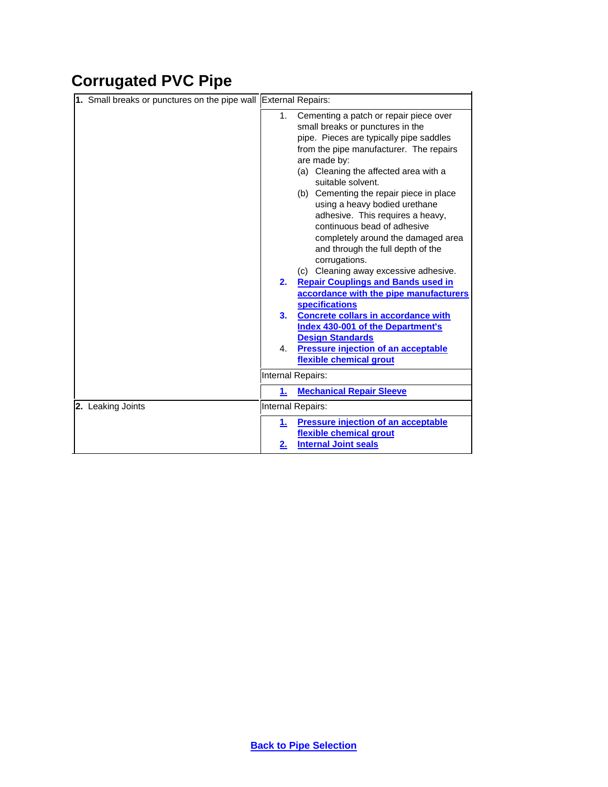# <span id="page-3-0"></span>**Corrugated PVC Pipe**

| 1. Small breaks or punctures on the pipe wall External Repairs: |                                                                                                                                                                                                                                                                                                                                                                                                                                                                                                                                                                                             |
|-----------------------------------------------------------------|---------------------------------------------------------------------------------------------------------------------------------------------------------------------------------------------------------------------------------------------------------------------------------------------------------------------------------------------------------------------------------------------------------------------------------------------------------------------------------------------------------------------------------------------------------------------------------------------|
|                                                                 | Cementing a patch or repair piece over<br>1.<br>small breaks or punctures in the<br>pipe. Pieces are typically pipe saddles<br>from the pipe manufacturer. The repairs<br>are made by:<br>(a) Cleaning the affected area with a<br>suitable solvent.<br>(b) Cementing the repair piece in place<br>using a heavy bodied urethane<br>adhesive. This requires a heavy,<br>continuous bead of adhesive<br>completely around the damaged area<br>and through the full depth of the<br>corrugations.<br>(c) Cleaning away excessive adhesive.<br><b>Repair Couplings and Bands used in</b><br>2. |
|                                                                 | accordance with the pipe manufacturers<br><b>specifications</b><br><b>Concrete collars in accordance with</b><br>3.<br><b>Index 430-001 of the Department's</b><br><b>Design Standards</b><br><b>Pressure injection of an acceptable</b><br>4.<br>flexible chemical grout                                                                                                                                                                                                                                                                                                                   |
|                                                                 | Internal Repairs:                                                                                                                                                                                                                                                                                                                                                                                                                                                                                                                                                                           |
|                                                                 | <b>Mechanical Repair Sleeve</b><br>1.                                                                                                                                                                                                                                                                                                                                                                                                                                                                                                                                                       |
| 2. Leaking Joints                                               | Internal Repairs:                                                                                                                                                                                                                                                                                                                                                                                                                                                                                                                                                                           |
|                                                                 | <b>Pressure injection of an acceptable</b><br>1.<br>flexible chemical grout<br><b>Internal Joint seals</b><br>2.                                                                                                                                                                                                                                                                                                                                                                                                                                                                            |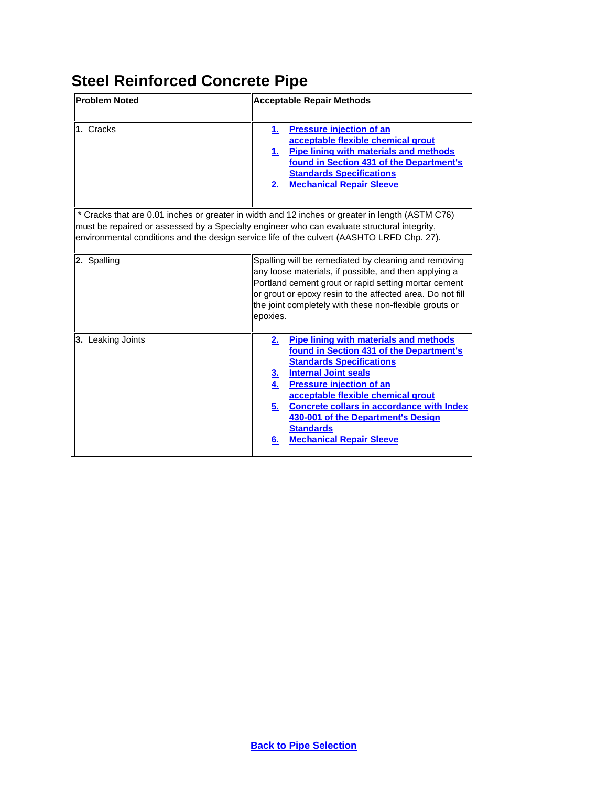# <span id="page-4-0"></span>**Steel Reinforced Concrete Pipe**

| <b>Problem Noted</b> | <b>Acceptable Repair Methods</b>                                                                                                                                                                                                                                                                                                                                                                                                  |
|----------------------|-----------------------------------------------------------------------------------------------------------------------------------------------------------------------------------------------------------------------------------------------------------------------------------------------------------------------------------------------------------------------------------------------------------------------------------|
| 1. Cracks            | <b>Pressure injection of an</b><br>1.<br>acceptable flexible chemical grout<br><b>Pipe lining with materials and methods</b><br>1.<br>found in Section 431 of the Department's<br><b>Standards Specifications</b><br><b>Mechanical Repair Sleeve</b><br>2.                                                                                                                                                                        |
|                      | * Cracks that are 0.01 inches or greater in width and 12 inches or greater in length (ASTM C76)<br>must be repaired or assessed by a Specialty engineer who can evaluate structural integrity,<br>environmental conditions and the design service life of the culvert (AASHTO LRFD Chp. 27).                                                                                                                                      |
| 2. Spalling          | Spalling will be remediated by cleaning and removing<br>any loose materials, if possible, and then applying a<br>Portland cement grout or rapid setting mortar cement<br>or grout or epoxy resin to the affected area. Do not fill<br>the joint completely with these non-flexible grouts or<br>epoxies.                                                                                                                          |
| 3. Leaking Joints    | <b>Pipe lining with materials and methods</b><br>2.<br>found in Section 431 of the Department's<br><b>Standards Specifications</b><br><b>Internal Joint seals</b><br><u>3.</u><br><b>Pressure injection of an</b><br>4.<br>acceptable flexible chemical grout<br><b>Concrete collars in accordance with Index</b><br><u>5.</u><br>430-001 of the Department's Design<br><b>Standards</b><br><b>Mechanical Repair Sleeve</b><br>6. |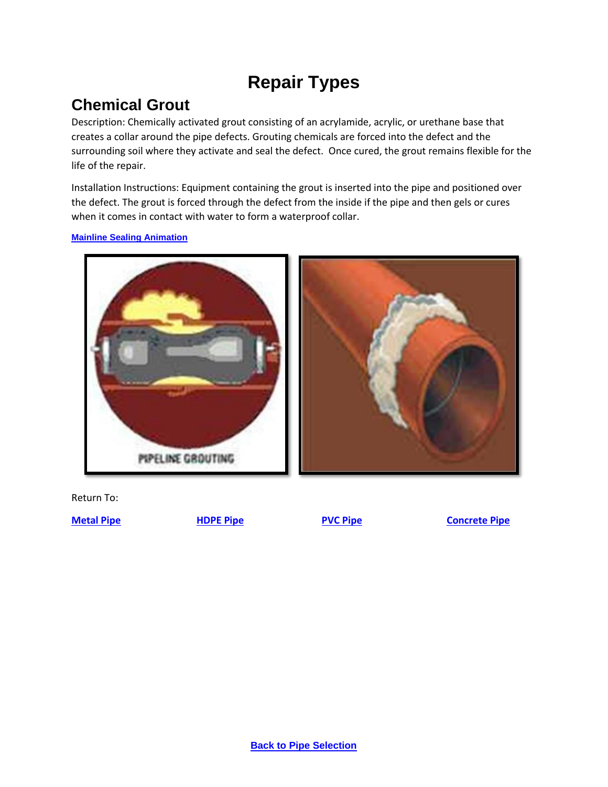# **Repair Types**

## <span id="page-5-0"></span>**Chemical Grout**

Description: Chemically activated grout consisting of an acrylamide, acrylic, or urethane base that creates a collar around the pipe defects. Grouting chemicals are forced into the defect and the surrounding soil where they activate and seal the defect. Once cured, the grout remains flexible for the life of the repair.

Installation Instructions: Equipment containing the grout is inserted into the pipe and positioned over the defect. The grout is forced through the defect from the inside if the pipe and then gels or cures when it comes in contact with water to form a waterproof collar.

**[Mainline Sealing Animation](https://youtu.be/PQTlXBzLk04)**



Return To:

**[Metal Pipe](#page-1-0) [HDPE Pipe](#page-2-0) [PVC Pipe](#page-3-0) [Concrete Pipe](#page-4-0)**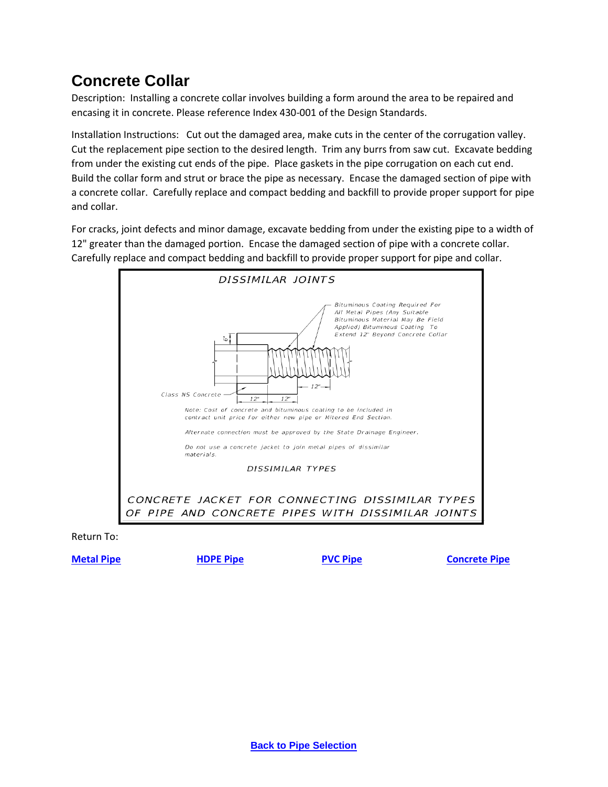### <span id="page-6-0"></span>**Concrete Collar**

Description: Installing a concrete collar involves building a form around the area to be repaired and encasing it in concrete. Please reference Index 430-001 of the Design Standards.

Installation Instructions: Cut out the damaged area, make cuts in the center of the corrugation valley. Cut the replacement pipe section to the desired length. Trim any burrs from saw cut. Excavate bedding from under the existing cut ends of the pipe. Place gaskets in the pipe corrugation on each cut end. Build the collar form and strut or brace the pipe as necessary. Encase the damaged section of pipe with a concrete collar. Carefully replace and compact bedding and backfill to provide proper support for pipe and collar.

For cracks, joint defects and minor damage, excavate bedding from under the existing pipe to a width of 12" greater than the damaged portion. Encase the damaged section of pipe with a concrete collar. Carefully replace and compact bedding and backfill to provide proper support for pipe and collar.



Return To:

**[Metal Pipe](#page-1-0) [HDPE Pipe](#page-2-0) [PVC Pipe](#page-3-0) [Concrete Pipe](#page-4-0)**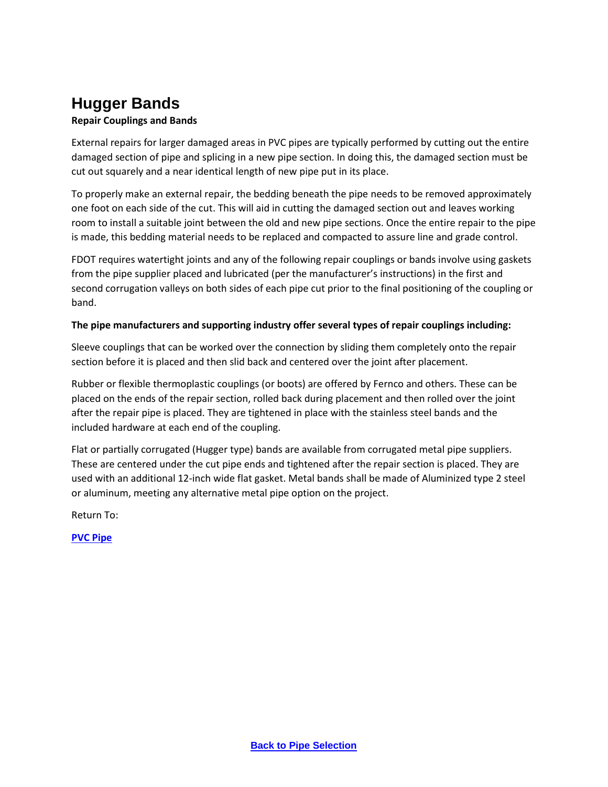### <span id="page-7-0"></span>**Hugger Bands**

#### **Repair Couplings and Bands**

External repairs for larger damaged areas in PVC pipes are typically performed by cutting out the entire damaged section of pipe and splicing in a new pipe section. In doing this, the damaged section must be cut out squarely and a near identical length of new pipe put in its place.

To properly make an external repair, the bedding beneath the pipe needs to be removed approximately one foot on each side of the cut. This will aid in cutting the damaged section out and leaves working room to install a suitable joint between the old and new pipe sections. Once the entire repair to the pipe is made, this bedding material needs to be replaced and compacted to assure line and grade control.

FDOT requires watertight joints and any of the following repair couplings or bands involve using gaskets from the pipe supplier placed and lubricated (per the manufacturer's instructions) in the first and second corrugation valleys on both sides of each pipe cut prior to the final positioning of the coupling or band.

#### **The pipe manufacturers and supporting industry offer several types of repair couplings including:**

Sleeve couplings that can be worked over the connection by sliding them completely onto the repair section before it is placed and then slid back and centered over the joint after placement.

Rubber or flexible thermoplastic couplings (or boots) are offered by Fernco and others. These can be placed on the ends of the repair section, rolled back during placement and then rolled over the joint after the repair pipe is placed. They are tightened in place with the stainless steel bands and the included hardware at each end of the coupling.

Flat or partially corrugated (Hugger type) bands are available from corrugated metal pipe suppliers. These are centered under the cut pipe ends and tightened after the repair section is placed. They are used with an additional 12-inch wide flat gasket. Metal bands shall be made of Aluminized type 2 steel or aluminum, meeting any alternative metal pipe option on the project.

Return To:

**[PVC Pipe](#page-3-0)**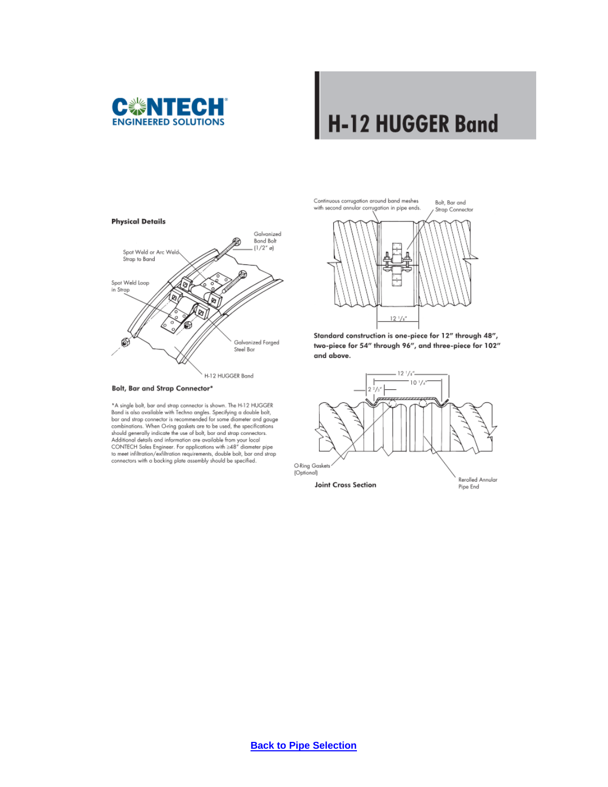

# **H-12 HUGGER Band**

Bolt, Bar and



```
Bolt, Bar and Strap Connector*
```
\*A single bolt, bar and strap connector is shown. The H-12 HUGGER<br>Band is also available with Techno angles. Specifying a double bolt, bar and strap connector is recommended for some diameter and gauge combinations. When O-ring gaskets are to be used, the specifications should generally indicate the use of bolt, bar and strap connectors. Additional details and information are available from your local<br>CONTECH Sales Engineer. For applications with  $\geq$ 48" diameter pipe<br>to meet infiltration/exfiltration requirements, double bolt, bar and strap connectors with a backing plate assembly should be specified.

Continuous corrugation around band meshes<br>with second annular corrugation in pipe ends.



Standard construction is one-piece for 12" through 48", two-piece for 54" through 96", and three-piece for 102" and above.

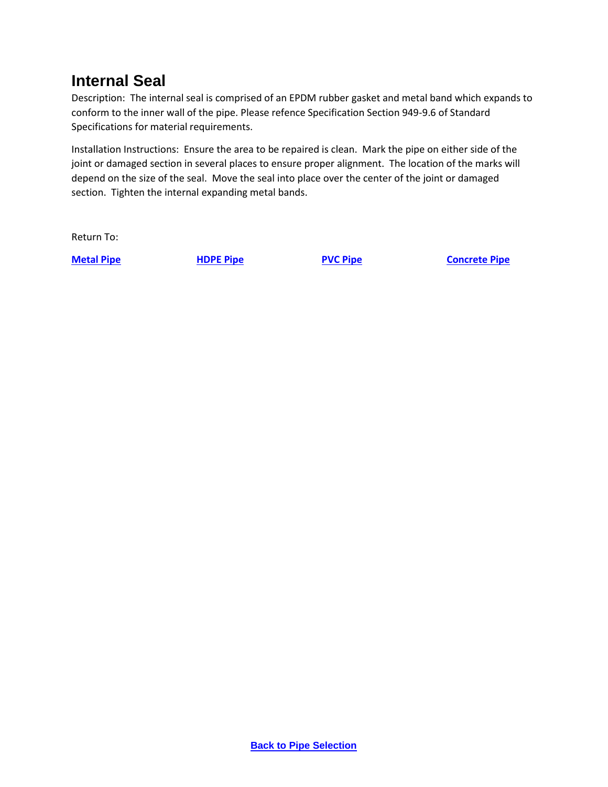### <span id="page-9-0"></span>**Internal Seal**

Description: The internal seal is comprised of an EPDM rubber gasket and metal band which expands to conform to the inner wall of the pipe. Please refence Specification Section 949-9.6 of Standard Specifications for material requirements.

Installation Instructions: Ensure the area to be repaired is clean. Mark the pipe on either side of the joint or damaged section in several places to ensure proper alignment. The location of the marks will depend on the size of the seal. Move the seal into place over the center of the joint or damaged section. Tighten the internal expanding metal bands.

Return To:

**[Metal Pipe](#page-1-0) [HDPE Pipe](#page-2-0) [PVC Pipe](#page-3-0) [Concrete Pipe](#page-4-0)**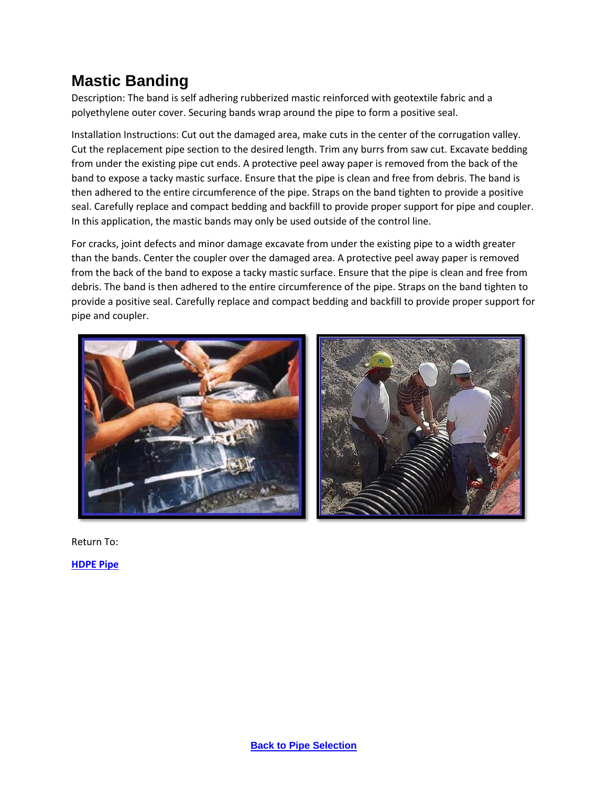### <span id="page-10-0"></span>**Mastic Banding**

Description: The band is self adhering rubberized mastic reinforced with geotextile fabric and a polyethylene outer cover. Securing bands wrap around the pipe to form a positive seal.

Installation Instructions: Cut out the damaged area, make cuts in the center of the corrugation valley. Cut the replacement pipe section to the desired length. Trim any burrs from saw cut. Excavate bedding from under the existing pipe cut ends. A protective peel away paper is removed from the back of the band to expose a tacky mastic surface. Ensure that the pipe is clean and free from debris. The band is then adhered to the entire circumference of the pipe. Straps on the band tighten to provide a positive seal. Carefully replace and compact bedding and backfill to provide proper support for pipe and coupler. In this application, the mastic bands may only be used outside of the control line.

For cracks, joint defects and minor damage excavate from under the existing pipe to a width greater than the bands. Center the coupler over the damaged area. A protective peel away paper is removed from the back of the band to expose a tacky mastic surface. Ensure that the pipe is clean and free from debris. The band is then adhered to the entire circumference of the pipe. Straps on the band tighten to provide a positive seal. Carefully replace and compact bedding and backfill to provide proper support for pipe and coupler.



Return To: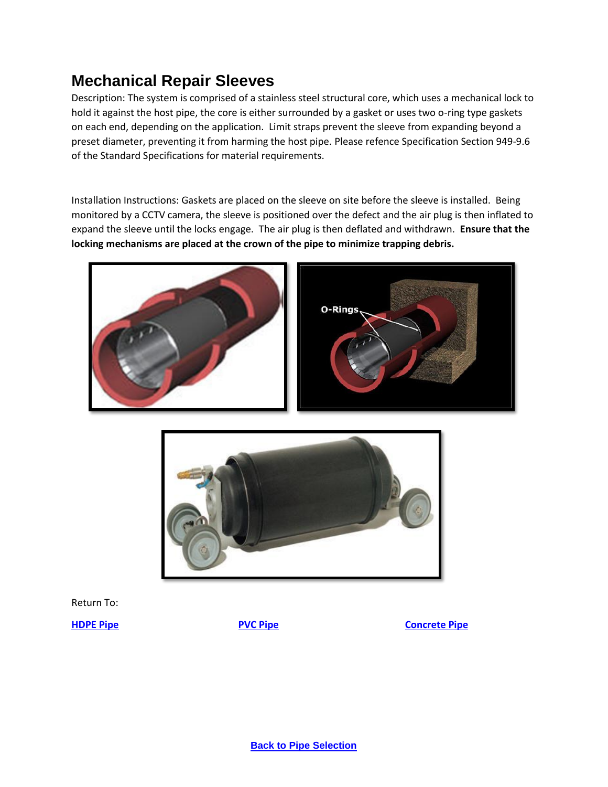### <span id="page-11-0"></span>**Mechanical Repair Sleeves**

Description: The system is comprised of a stainless steel structural core, which uses a mechanical lock to hold it against the host pipe, the core is either surrounded by a gasket or uses two o-ring type gaskets on each end, depending on the application. Limit straps prevent the sleeve from expanding beyond a preset diameter, preventing it from harming the host pipe. Please refence Specification Section 949-9.6 of the Standard Specifications for material requirements.

Installation Instructions: Gaskets are placed on the sleeve on site before the sleeve is installed. Being monitored by a CCTV camera, the sleeve is positioned over the defect and the air plug is then inflated to expand the sleeve until the locks engage. The air plug is then deflated and withdrawn. **Ensure that the locking mechanisms are placed at the crown of the pipe to minimize trapping debris.**





Return To:

**[HDPE Pipe](#page-2-0) [PVC Pipe](#page-3-0) [Concrete Pipe](#page-4-0)**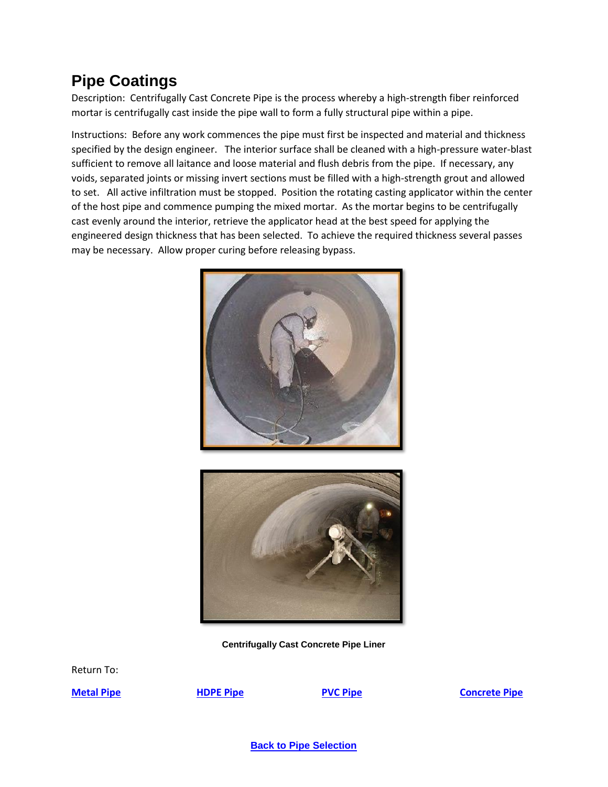### <span id="page-12-0"></span>**Pipe Coatings**

Description: Centrifugally Cast Concrete Pipe is the process whereby a high-strength fiber reinforced mortar is centrifugally cast inside the pipe wall to form a fully structural pipe within a pipe.

Instructions: Before any work commences the pipe must first be inspected and material and thickness specified by the design engineer. The interior surface shall be cleaned with a high-pressure water-blast sufficient to remove all laitance and loose material and flush debris from the pipe. If necessary, any voids, separated joints or missing invert sections must be filled with a high-strength grout and allowed to set. All active infiltration must be stopped. Position the rotating casting applicator within the center of the host pipe and commence pumping the mixed mortar. As the mortar begins to be centrifugally cast evenly around the interior, retrieve the applicator head at the best speed for applying the engineered design thickness that has been selected. To achieve the required thickness several passes may be necessary. Allow proper curing before releasing bypass.





**Centrifugally Cast Concrete Pipe Liner**

Return To:

**[Metal Pipe](#page-1-0) [HDPE Pipe](#page-2-0) [PVC Pipe](#page-3-0) [Concrete Pipe](#page-4-0)**

**[Back to Pipe Selection](#page-0-0)**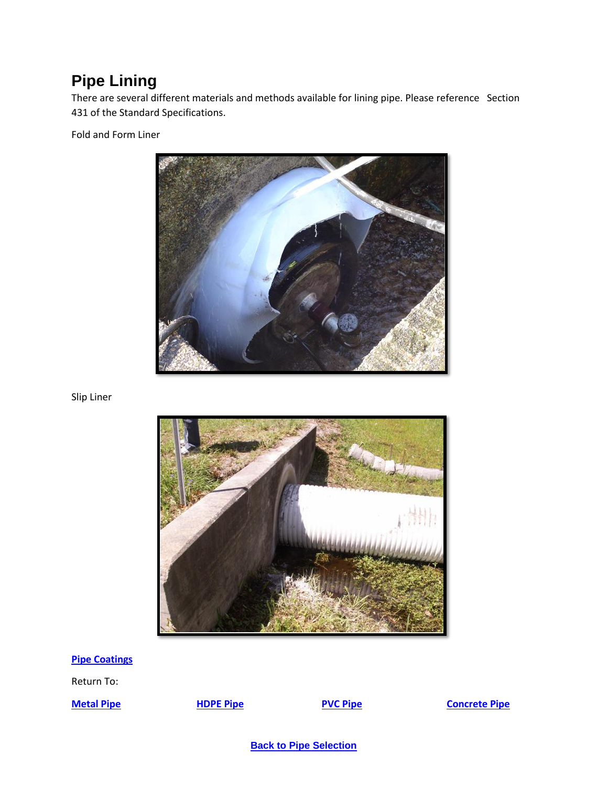### <span id="page-13-0"></span>**Pipe Lining**

There are several different materials and methods available for lining pipe. Please reference Section 431 of the Standard Specifications.

Fold and Form Liner



Slip Liner



**[Pipe Coatings](#page-12-0)**

Return To:

<span id="page-13-1"></span>

### **[Metal Pipe](#page-1-0) [HDPE Pipe](#page-2-0) [PVC Pipe](#page-3-0) [Concrete Pipe](#page-4-0)**

**[Back to Pipe Selection](#page-0-0)**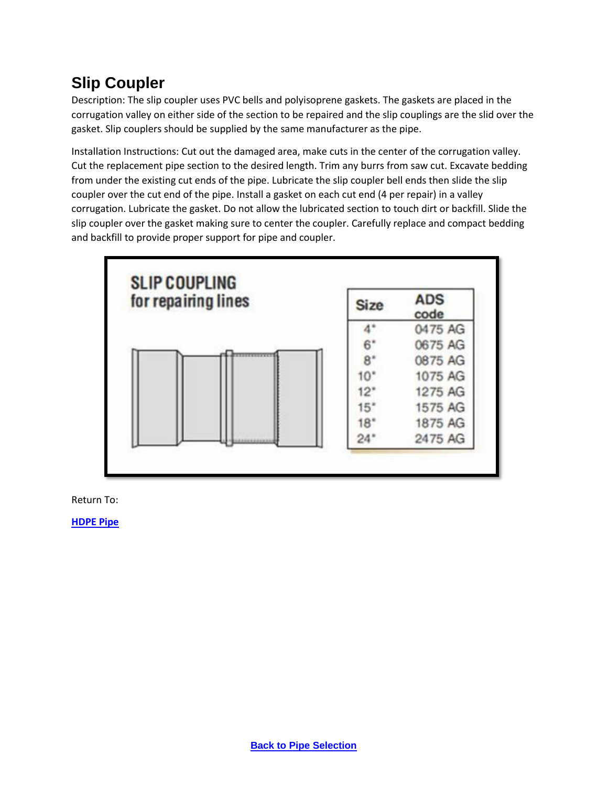## **Slip Coupler**

Description: The slip coupler uses PVC bells and polyisoprene gaskets. The gaskets are placed in the corrugation valley on either side of the section to be repaired and the slip couplings are the slid over the gasket. Slip couplers should be supplied by the same manufacturer as the pipe.

Installation Instructions: Cut out the damaged area, make cuts in the center of the corrugation valley. Cut the replacement pipe section to the desired length. Trim any burrs from saw cut. Excavate bedding from under the existing cut ends of the pipe. Lubricate the slip coupler bell ends then slide the slip coupler over the cut end of the pipe. Install a gasket on each cut end (4 per repair) in a valley corrugation. Lubricate the gasket. Do not allow the lubricated section to touch dirt or backfill. Slide the slip coupler over the gasket making sure to center the coupler. Carefully replace and compact bedding and backfill to provide proper support for pipe and coupler.



Return To: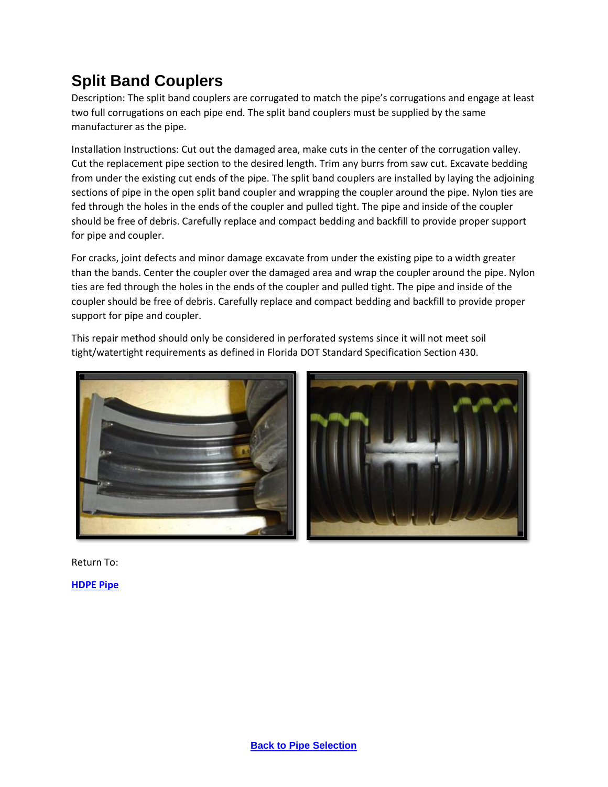## <span id="page-15-0"></span>**Split Band Couplers**

Description: The split band couplers are corrugated to match the pipe's corrugations and engage at least two full corrugations on each pipe end. The split band couplers must be supplied by the same manufacturer as the pipe.

Installation Instructions: Cut out the damaged area, make cuts in the center of the corrugation valley. Cut the replacement pipe section to the desired length. Trim any burrs from saw cut. Excavate bedding from under the existing cut ends of the pipe. The split band couplers are installed by laying the adjoining sections of pipe in the open split band coupler and wrapping the coupler around the pipe. Nylon ties are fed through the holes in the ends of the coupler and pulled tight. The pipe and inside of the coupler should be free of debris. Carefully replace and compact bedding and backfill to provide proper support for pipe and coupler.

For cracks, joint defects and minor damage excavate from under the existing pipe to a width greater than the bands. Center the coupler over the damaged area and wrap the coupler around the pipe. Nylon ties are fed through the holes in the ends of the coupler and pulled tight. The pipe and inside of the coupler should be free of debris. Carefully replace and compact bedding and backfill to provide proper support for pipe and coupler.

This repair method should only be considered in perforated systems since it will not meet soil tight/watertight requirements as defined in Florida DOT Standard Specification Section 430.





Return To: